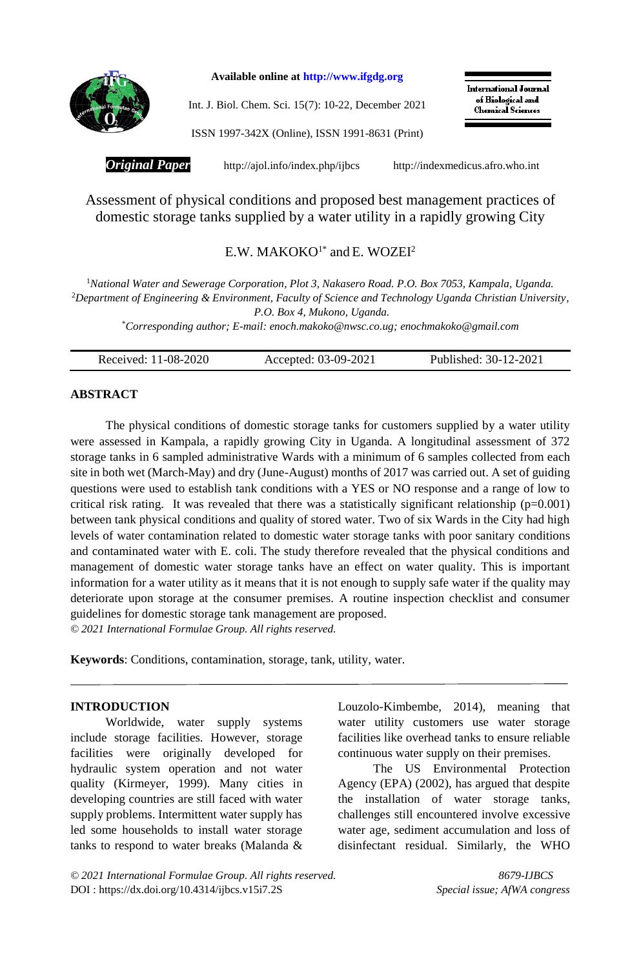

**Available online at [http://www.ifgdg.org](http://www.ifgdg.org/)**

Int. J. Biol. Chem. Sci. 15(7): 10-22, December 2021

**International Journal** of Biological and **Chemical Sciences** 

ISSN 1997-342X (Online), ISSN 1991-8631 (Print)

*Original Paper* <http://ajol.info/index.php/ijbcs>[http://indexmedicus.afro.who.int](http://indexmedicus.afro.who.int/)

Assessment of physical conditions and proposed best management practices of domestic storage tanks supplied by a water utility in a rapidly growing City

# $E.W. MAKOKO<sup>1*</sup>$  and  $E. WOZEI<sup>2</sup>$

<sup>1</sup>*National Water and Sewerage Corporation, Plot 3, Nakasero Road. P.O. Box 7053, Kampala, Uganda.*  <sup>2</sup>*Department of Engineering & Environment, Faculty of Science and Technology Uganda Christian University, P.O. Box 4, Mukono, Uganda.*

\**Corresponding author; E-mail: [enoch.makoko@nwsc.co.ug;](mailto:enoch.makoko@nwsc.co.ug) [enochmakoko@gmail.com](mailto:enochmakoko@gmail.com)*

| Received: 11-08-2020<br>Accepted: 03-09-2021 | Published: 30-12-2021 |
|----------------------------------------------|-----------------------|
|----------------------------------------------|-----------------------|

# **ABSTRACT**

The physical conditions of domestic storage tanks for customers supplied by a water utility were assessed in Kampala, a rapidly growing City in Uganda. A longitudinal assessment of 372 storage tanks in 6 sampled administrative Wards with a minimum of 6 samples collected from each site in both wet (March-May) and dry (June-August) months of 2017 was carried out. A set of guiding questions were used to establish tank conditions with a YES or NO response and a range of low to critical risk rating. It was revealed that there was a statistically significant relationship  $(p=0.001)$ between tank physical conditions and quality of stored water. Two of six Wards in the City had high levels of water contamination related to domestic water storage tanks with poor sanitary conditions and contaminated water with E. coli. The study therefore revealed that the physical conditions and management of domestic water storage tanks have an effect on water quality. This is important information for a water utility as it means that it is not enough to supply safe water if the quality may deteriorate upon storage at the consumer premises. A routine inspection checklist and consumer guidelines for domestic storage tank management are proposed. *© 2021 International Formulae Group. All rights reserved.*

**Keywords**: Conditions, contamination, storage, tank, utility, water.

#### **INTRODUCTION**

Worldwide, water supply systems include storage facilities. However, storage facilities were originally developed for hydraulic system operation and not water quality (Kirmeyer, 1999). Many cities in developing countries are still faced with water supply problems. Intermittent water supply has led some households to install water storage tanks to respond to water breaks (Malanda &

Louzolo-Kimbembe, 2014), meaning that water utility customers use water storage facilities like overhead tanks to ensure reliable continuous water supply on their premises.

The US Environmental Protection Agency (EPA) (2002), has argued that despite the installation of water storage tanks, challenges still encountered involve excessive water age, sediment accumulation and loss of disinfectant residual. Similarly, the WHO

*© 2021 International Formulae Group. All rights reserved. 8679-IJBCS* DOI [: https://dx.doi.org/10.4314/ijbcs.v15i7.2S](https://dx.doi.org/10.4314/ijbcs.v15i7.1S) *Special issue; AfWA congress*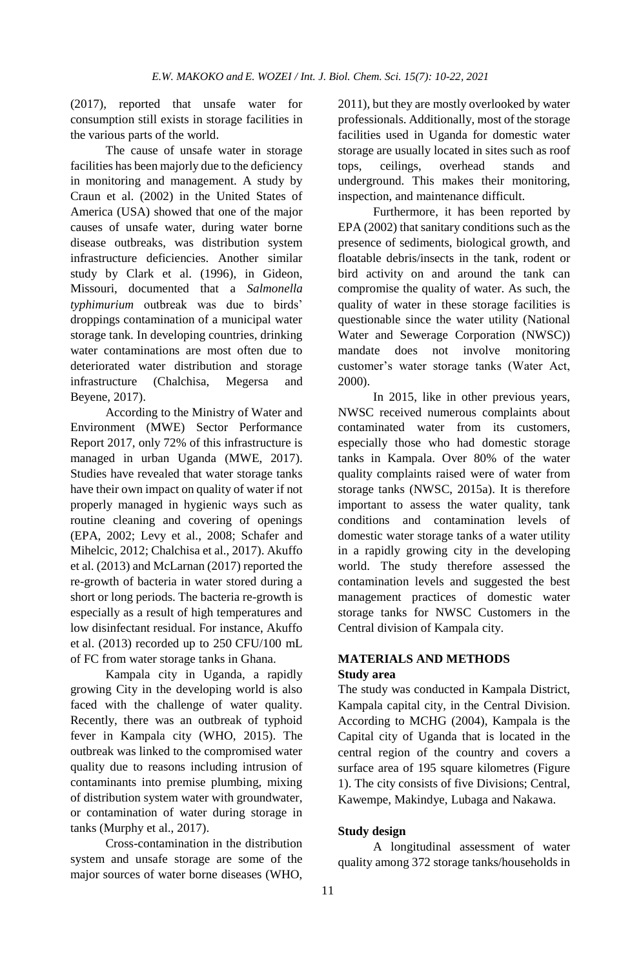(2017), reported that unsafe water for consumption still exists in storage facilities in the various parts of the world.

The cause of unsafe water in storage facilities has been majorly due to the deficiency in monitoring and management. A study by Craun et al. (2002) in the United States of America (USA) showed that one of the major causes of unsafe water, during water borne disease outbreaks, was distribution system infrastructure deficiencies. Another similar study by Clark et al. (1996), in Gideon, Missouri, documented that a *Salmonella typhimurium* outbreak was due to birds' droppings contamination of a municipal water storage tank. In developing countries, drinking water contaminations are most often due to deteriorated water distribution and storage infrastructure (Chalchisa, Megersa and Beyene, 2017).

According to the Ministry of Water and Environment (MWE) Sector Performance Report 2017, only 72% of this infrastructure is managed in urban Uganda (MWE, 2017). Studies have revealed that water storage tanks have their own impact on quality of water if not properly managed in hygienic ways such as routine cleaning and covering of openings (EPA, 2002; Levy et al., 2008; Schafer and Mihelcic, 2012; Chalchisa et al., 2017). Akuffo et al. (2013) and McLarnan (2017) reported the re-growth of bacteria in water stored during a short or long periods. The bacteria re-growth is especially as a result of high temperatures and low disinfectant residual. For instance, Akuffo et al. (2013) recorded up to 250 CFU/100 mL of FC from water storage tanks in Ghana.

Kampala city in Uganda, a rapidly growing City in the developing world is also faced with the challenge of water quality. Recently, there was an outbreak of typhoid fever in Kampala city (WHO, 2015). The outbreak was linked to the compromised water quality due to reasons including intrusion of contaminants into premise plumbing, mixing of distribution system water with groundwater, or contamination of water during storage in tanks (Murphy et al., 2017).

Cross-contamination in the distribution system and unsafe storage are some of the major sources of water borne diseases (WHO,

2011), but they are mostly overlooked by water professionals. Additionally, most of the storage facilities used in Uganda for domestic water storage are usually located in sites such as roof tops, ceilings, overhead stands and underground. This makes their monitoring, inspection, and maintenance difficult.

Furthermore, it has been reported by EPA (2002) that sanitary conditions such as the presence of sediments, biological growth, and floatable debris/insects in the tank, rodent or bird activity on and around the tank can compromise the quality of water. As such, the quality of water in these storage facilities is questionable since the water utility (National Water and Sewerage Corporation (NWSC)) mandate does not involve monitoring customer's water storage tanks (Water Act, 2000).

In 2015, like in other previous years, NWSC received numerous complaints about contaminated water from its customers, especially those who had domestic storage tanks in Kampala. Over 80% of the water quality complaints raised were of water from storage tanks (NWSC, 2015a). It is therefore important to assess the water quality, tank conditions and contamination levels of domestic water storage tanks of a water utility in a rapidly growing city in the developing world. The study therefore assessed the contamination levels and suggested the best management practices of domestic water storage tanks for NWSC Customers in the Central division of Kampala city.

# **MATERIALS AND METHODS Study area**

The study was conducted in Kampala District, Kampala capital city, in the Central Division. According to MCHG (2004), Kampala is the Capital city of Uganda that is located in the central region of the country and covers a surface area of 195 square kilometres (Figure 1). The city consists of five Divisions; Central, Kawempe, Makindye, Lubaga and Nakawa.

#### **Study design**

A longitudinal assessment of water quality among 372 storage tanks/households in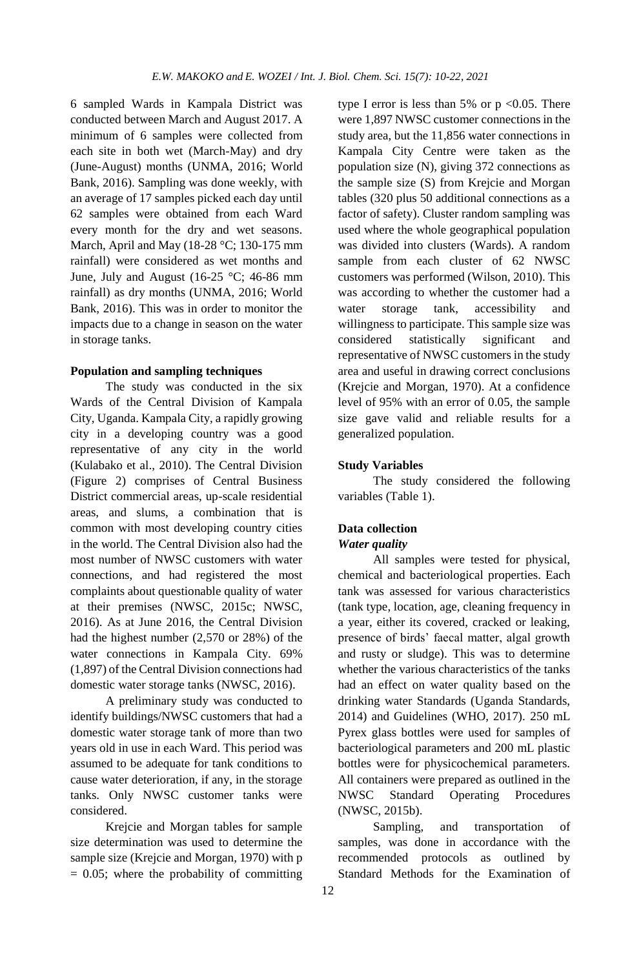6 sampled Wards in Kampala District was conducted between March and August 2017. A minimum of 6 samples were collected from each site in both wet (March-May) and dry (June-August) months (UNMA, 2016; World Bank, 2016). Sampling was done weekly, with an average of 17 samples picked each day until 62 samples were obtained from each Ward every month for the dry and wet seasons. March, April and May (18-28 °C; 130-175 mm rainfall) were considered as wet months and June, July and August (16-25  $\degree$ C; 46-86 mm rainfall) as dry months (UNMA, 2016; World Bank, 2016). This was in order to monitor the impacts due to a change in season on the water in storage tanks.

#### **Population and sampling techniques**

The study was conducted in the six Wards of the Central Division of Kampala City, Uganda. Kampala City, a rapidly growing city in a developing country was a good representative of any city in the world (Kulabako et al., 2010). The Central Division (Figure 2) comprises of Central Business District commercial areas, up-scale residential areas, and slums, a combination that is common with most developing country cities in the world. The Central Division also had the most number of NWSC customers with water connections, and had registered the most complaints about questionable quality of water at their premises (NWSC, 2015c; NWSC, 2016). As at June 2016, the Central Division had the highest number (2,570 or 28%) of the water connections in Kampala City. 69% (1,897) of the Central Division connections had domestic water storage tanks (NWSC, 2016).

A preliminary study was conducted to identify buildings/NWSC customers that had a domestic water storage tank of more than two years old in use in each Ward. This period was assumed to be adequate for tank conditions to cause water deterioration, if any, in the storage tanks. Only NWSC customer tanks were considered.

Krejcie and Morgan tables for sample size determination was used to determine the sample size (Krejcie and Morgan, 1970) with p  $= 0.05$ ; where the probability of committing type I error is less than 5% or  $p \le 0.05$ . There were 1,897 NWSC customer connections in the study area, but the 11,856 water connections in Kampala City Centre were taken as the population size (N), giving 372 connections as the sample size (S) from Krejcie and Morgan tables (320 plus 50 additional connections as a factor of safety). Cluster random sampling was used where the whole geographical population was divided into clusters (Wards). A random sample from each cluster of 62 NWSC customers was performed (Wilson, 2010). This was according to whether the customer had a water storage tank, accessibility and willingness to participate. This sample size was considered statistically significant and representative of NWSC customers in the study area and useful in drawing correct conclusions (Krejcie and Morgan, 1970). At a confidence level of 95% with an error of 0.05, the sample size gave valid and reliable results for a generalized population.

## **Study Variables**

The study considered the following variables (Table 1).

# **Data collection**

## *Water quality*

All samples were tested for physical, chemical and bacteriological properties. Each tank was assessed for various characteristics (tank type, location, age, cleaning frequency in a year, either its covered, cracked or leaking, presence of birds' faecal matter, algal growth and rusty or sludge). This was to determine whether the various characteristics of the tanks had an effect on water quality based on the drinking water Standards (Uganda Standards, 2014) and Guidelines (WHO, 2017). 250 mL Pyrex glass bottles were used for samples of bacteriological parameters and 200 mL plastic bottles were for physicochemical parameters. All containers were prepared as outlined in the NWSC Standard Operating Procedures (NWSC, 2015b).

Sampling, and transportation of samples, was done in accordance with the recommended protocols as outlined by Standard Methods for the Examination of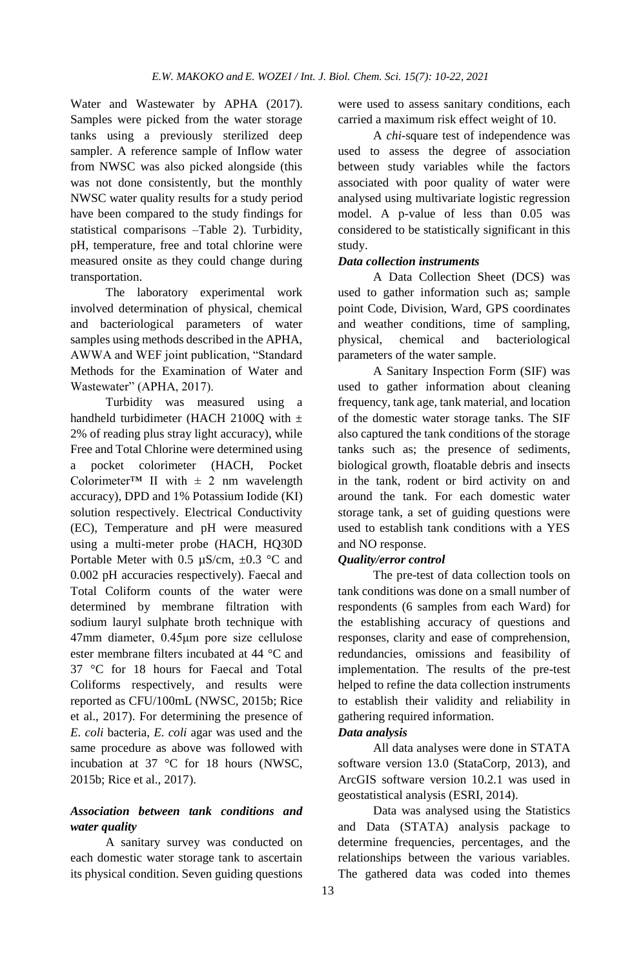Water and Wastewater by APHA (2017). Samples were picked from the water storage tanks using a previously sterilized deep sampler. A reference sample of Inflow water from NWSC was also picked alongside (this was not done consistently, but the monthly NWSC water quality results for a study period have been compared to the study findings for statistical comparisons –Table 2). Turbidity, pH, temperature, free and total chlorine were measured onsite as they could change during transportation.

The laboratory experimental work involved determination of physical, chemical and bacteriological parameters of water samples using methods described in the APHA, AWWA and WEF joint publication, "Standard Methods for the Examination of Water and Wastewater" (APHA, 2017).

Turbidity was measured using a handheld turbidimeter (HACH 2100Q with  $\pm$ 2% of reading plus stray light accuracy), while Free and Total Chlorine were determined using a pocket colorimeter (HACH, Pocket Colorimeter<sup>™</sup> II with  $\pm$  2 nm wavelength accuracy), DPD and 1% Potassium Iodide (KI) solution respectively. Electrical Conductivity (EC), Temperature and pH were measured using a multi-meter probe (HACH, HQ30D Portable Meter with 0.5  $\mu$ S/cm,  $\pm$ 0.3 °C and 0.002 pH accuracies respectively). Faecal and Total Coliform counts of the water were determined by membrane filtration with sodium lauryl sulphate broth technique with 47mm diameter, 0.45μm pore size cellulose ester membrane filters incubated at 44 °C and 37 °C for 18 hours for Faecal and Total Coliforms respectively, and results were reported as CFU/100mL (NWSC, 2015b; Rice et al., 2017). For determining the presence of *E. coli* bacteria, *E. coli* agar was used and the same procedure as above was followed with incubation at 37 °C for 18 hours (NWSC, 2015b; Rice et al., 2017).

# *Association between tank conditions and water quality*

A sanitary survey was conducted on each domestic water storage tank to ascertain its physical condition. Seven guiding questions

were used to assess sanitary conditions, each carried a maximum risk effect weight of 10.

A *chi*-square test of independence was used to assess the degree of association between study variables while the factors associated with poor quality of water were analysed using multivariate logistic regression model. A p-value of less than 0.05 was considered to be statistically significant in this study.

# *Data collection instruments*

A Data Collection Sheet (DCS) was used to gather information such as; sample point Code, Division, Ward, GPS coordinates and weather conditions, time of sampling, physical, chemical and bacteriological parameters of the water sample.

A Sanitary Inspection Form (SIF) was used to gather information about cleaning frequency, tank age, tank material, and location of the domestic water storage tanks. The SIF also captured the tank conditions of the storage tanks such as; the presence of sediments, biological growth, floatable debris and insects in the tank, rodent or bird activity on and around the tank. For each domestic water storage tank, a set of guiding questions were used to establish tank conditions with a YES and NO response.

# *Quality/error control*

The pre-test of data collection tools on tank conditions was done on a small number of respondents (6 samples from each Ward) for the establishing accuracy of questions and responses, clarity and ease of comprehension, redundancies, omissions and feasibility of implementation. The results of the pre-test helped to refine the data collection instruments to establish their validity and reliability in gathering required information.

# *Data analysis*

All data analyses were done in STATA software version 13.0 (StataCorp, 2013), and ArcGIS software version 10.2.1 was used in geostatistical analysis (ESRI, 2014).

Data was analysed using the Statistics and Data (STATA) analysis package to determine frequencies, percentages, and the relationships between the various variables. The gathered data was coded into themes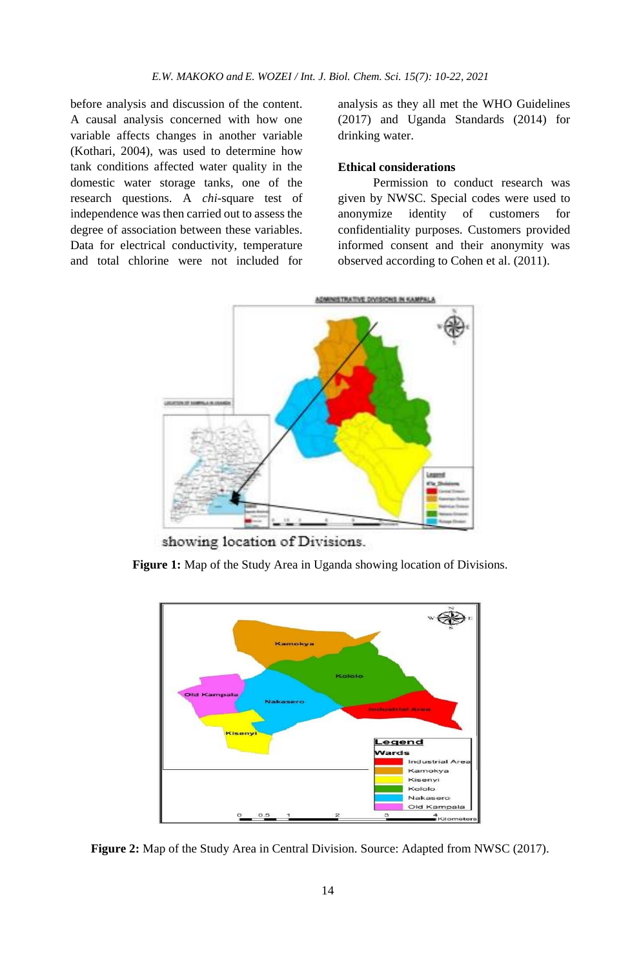before analysis and discussion of the content. A causal analysis concerned with how one variable affects changes in another variable (Kothari, 2004), was used to determine how tank conditions affected water quality in the domestic water storage tanks, one of the research questions. A *chi*-square test of independence was then carried out to assess the degree of association between these variables. Data for electrical conductivity, temperature and total chlorine were not included for

analysis as they all met the WHO Guidelines (2017) and Uganda Standards (2014) for drinking water.

## **Ethical considerations**

Permission to conduct research was given by NWSC. Special codes were used to anonymize identity of customers for confidentiality purposes. Customers provided informed consent and their anonymity was observed according to Cohen et al. (2011).



showing location of Divisions.

**Figure 1:** Map of the Study Area in Uganda showing location of Divisions.



**Figure 2:** Map of the Study Area in Central Division. Source: Adapted from NWSC (2017).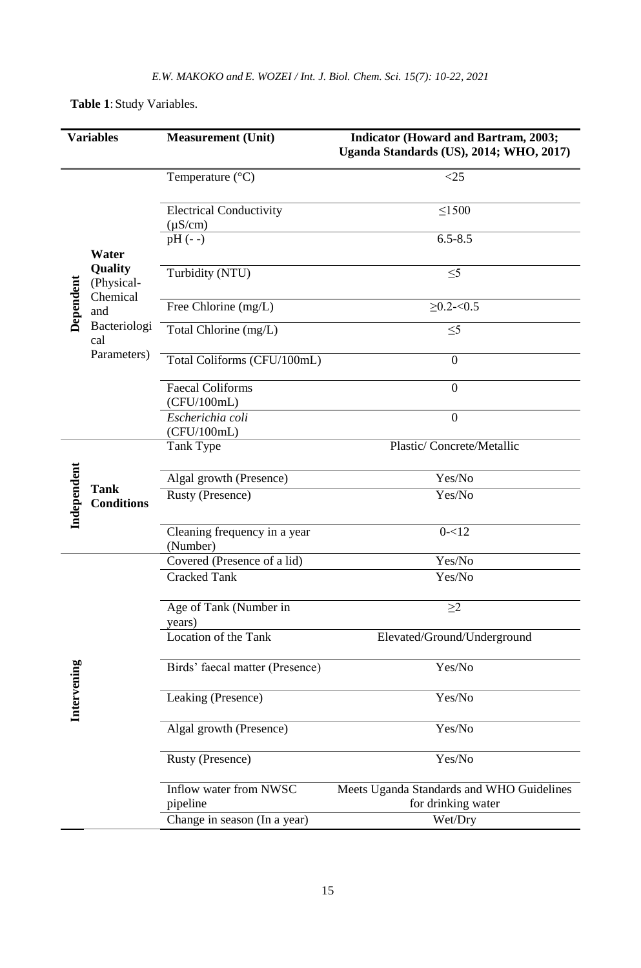| <b>Variables</b>                 | <b>Measurement</b> (Unit)                      | <b>Indicator (Howard and Bartram, 2003;</b><br>Uganda Standards (US), 2014; WHO, 2017) |
|----------------------------------|------------------------------------------------|----------------------------------------------------------------------------------------|
|                                  | Temperature $(^{\circ}C)$                      | <25                                                                                    |
|                                  | <b>Electrical Conductivity</b><br>$(\mu S/cm)$ | $\leq$ 1500                                                                            |
| Water                            | $pH (- -)$                                     | $6.5 - 8.5$                                                                            |
| <b>Quality</b><br>(Physical-     | Turbidity (NTU)                                | $\leq 5$                                                                               |
| Dependent<br>Chemical<br>and     | Free Chlorine (mg/L)                           | $\geq$ 0.2- $<$ 0.5                                                                    |
| Bacteriologi<br>cal              | Total Chlorine (mg/L)                          | $\leq 5$                                                                               |
| Parameters)                      | Total Coliforms (CFU/100mL)                    | $\mathbf{0}$                                                                           |
|                                  | <b>Faecal Coliforms</b><br>(CFU/100mL)         | $\mathbf{0}$                                                                           |
|                                  | Escherichia coli<br>(CFU/100mL)                | $\boldsymbol{0}$                                                                       |
|                                  | Tank Type                                      | Plastic/Concrete/Metallic                                                              |
| <b>Tank</b>                      | Algal growth (Presence)                        | Yes/No                                                                                 |
| Independent<br><b>Conditions</b> | Rusty (Presence)                               | Yes/No                                                                                 |
|                                  | Cleaning frequency in a year<br>(Number)       | $0 - 12$                                                                               |
|                                  | Covered (Presence of a lid)                    | Yes/No                                                                                 |
|                                  | Cracked Tank                                   | Yes/No                                                                                 |
|                                  | Age of Tank (Number in<br>years)               | $\geq$ 2                                                                               |
|                                  | Location of the Tank                           | Elevated/Ground/Underground                                                            |
|                                  | Birds' faecal matter (Presence)                | Yes/No                                                                                 |
| Intervening                      | Leaking (Presence)                             | Yes/No                                                                                 |
|                                  | Algal growth (Presence)                        | Yes/No                                                                                 |
|                                  | Rusty (Presence)                               | Yes/No                                                                                 |
|                                  | Inflow water from NWSC<br>pipeline             | Meets Uganda Standards and WHO Guidelines<br>for drinking water                        |
|                                  | Change in season (In a year)                   | Wet/Dry                                                                                |

**Table 1**:Study Variables.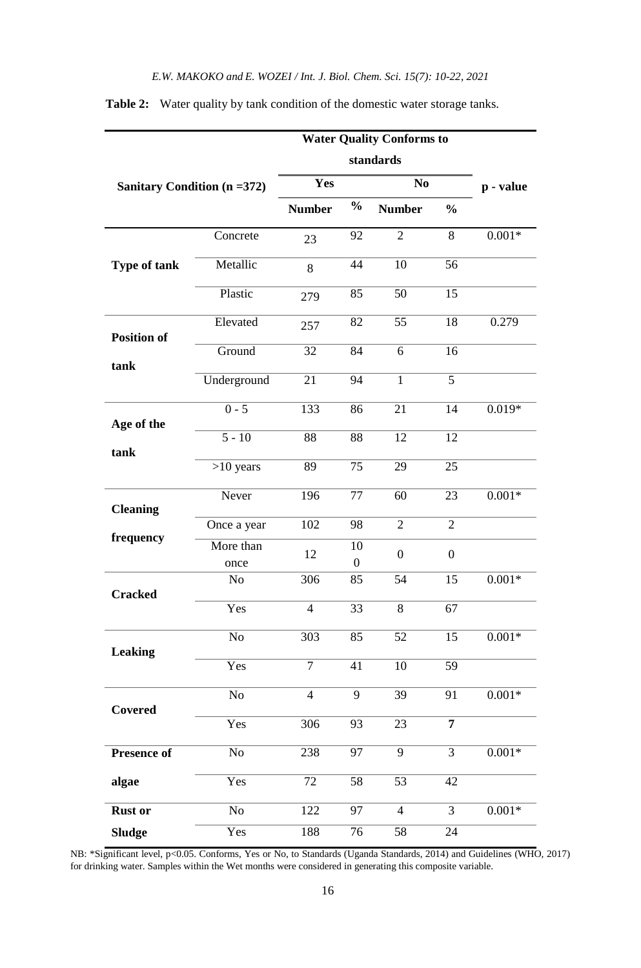| <b>Water Quality Conforms to</b> |                   |                |                    |                  |                  |           |
|----------------------------------|-------------------|----------------|--------------------|------------------|------------------|-----------|
|                                  |                   |                |                    |                  |                  |           |
| Sanitary Condition (n = 372)     |                   | Yes            |                    | N <sub>0</sub>   |                  | p - value |
|                                  |                   | <b>Number</b>  | $\frac{0}{0}$      | <b>Number</b>    | $\frac{0}{0}$    |           |
|                                  | Concrete          | 23             | 92                 | $\overline{2}$   | 8                | $0.001*$  |
| Type of tank                     | Metallic          | 8              | 44                 | 10               | 56               |           |
|                                  | Plastic           | 279            | 85                 | 50               | 15               |           |
| <b>Position of</b>               | Elevated          | 257            | 82                 | 55               | 18               | 0.279     |
| tank                             | Ground            | 32             | 84                 | 6                | 16               |           |
|                                  | Underground       | 21             | 94                 | $\mathbf{1}$     | 5                |           |
| Age of the                       | $0 - 5$           | 133            | 86                 | 21               | 14               | $0.019*$  |
| tank                             | $\overline{5-10}$ | 88             | 88                 | 12               | 12               |           |
|                                  | $>10$ years       | 89             | 75                 | 29               | 25               |           |
| <b>Cleaning</b>                  | Never             | 196            | 77                 | 60               | 23               | $0.001*$  |
|                                  | Once a year       | 102            | 98                 | $\overline{2}$   | $\overline{2}$   |           |
| frequency                        | More than<br>once | 12             | 10<br>$\mathbf{0}$ | $\boldsymbol{0}$ | $\boldsymbol{0}$ |           |
|                                  | No                | 306            | 85                 | 54               | 15               | $0.001*$  |
| <b>Cracked</b>                   | Yes               | $\overline{4}$ | 33                 | 8                | 67               |           |
| <b>Leaking</b>                   | N <sub>o</sub>    | 303            | 85                 | 52               | 15               | $0.001*$  |
|                                  | Yes               | 7              | 41                 | 10               | 59               |           |
| Covered                          | No                | $\overline{4}$ | 9                  | 39               | 91               | $0.001*$  |
|                                  | Yes               | 306            | 93                 | 23               | $\overline{7}$   |           |
| Presence of                      | No                | 238            | 97                 | $\overline{9}$   | 3                | $0.001*$  |
| algae                            | Yes               | 72             | 58                 | 53               | 42               |           |
| <b>Rust or</b>                   | No                | 122            | 97                 | $\overline{4}$   | 3                | $0.001*$  |
| <b>Sludge</b>                    | Yes               | 188            | 76                 | 58               | 24               |           |

**Table 2:** Water quality by tank condition of the domestic water storage tanks.

NB: \*Significant level, p<0.05. Conforms, Yes or No, to Standards (Uganda Standards, 2014) and Guidelines (WHO, 2017) for drinking water. Samples within the Wet months were considered in generating this composite variable.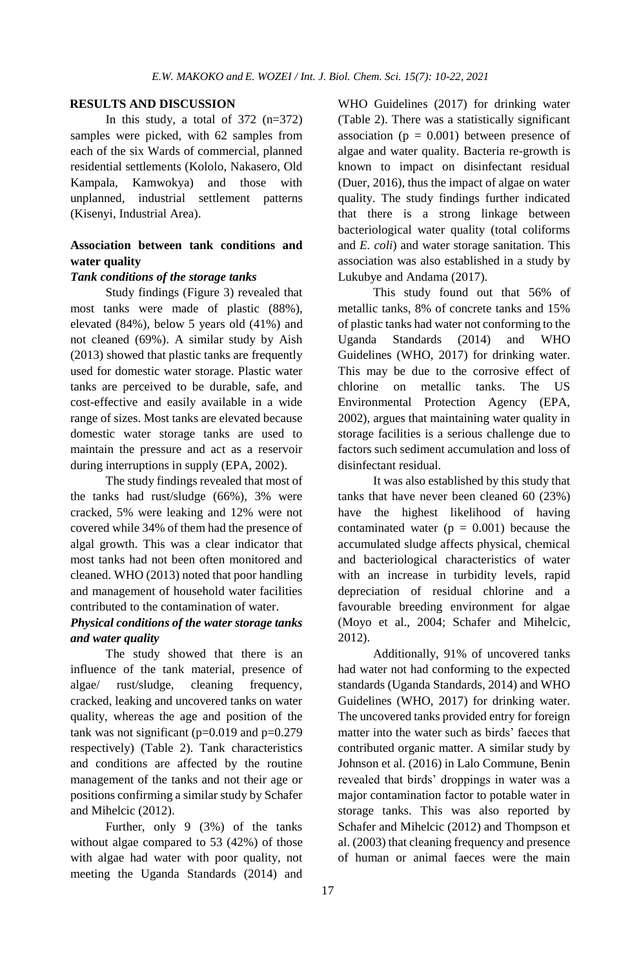# **RESULTS AND DISCUSSION**

In this study, a total of  $372$  (n=372) samples were picked, with 62 samples from each of the six Wards of commercial, planned residential settlements (Kololo, Nakasero, Old Kampala, Kamwokya) and those with unplanned, industrial settlement patterns (Kisenyi, Industrial Area).

# **Association between tank conditions and water quality**

## *Tank conditions of the storage tanks*

Study findings (Figure 3) revealed that most tanks were made of plastic (88%), elevated (84%), below 5 years old (41%) and not cleaned (69%). A similar study by Aish (2013) showed that plastic tanks are frequently used for domestic water storage. Plastic water tanks are perceived to be durable, safe, and cost-effective and easily available in a wide range of sizes. Most tanks are elevated because domestic water storage tanks are used to maintain the pressure and act as a reservoir during interruptions in supply (EPA, 2002).

The study findings revealed that most of the tanks had rust/sludge (66%), 3% were cracked, 5% were leaking and 12% were not covered while 34% of them had the presence of algal growth. This was a clear indicator that most tanks had not been often monitored and cleaned. WHO (2013) noted that poor handling and management of household water facilities contributed to the contamination of water.

# *Physical conditions of the water storage tanks and water quality*

The study showed that there is an influence of the tank material, presence of algae/ rust/sludge, cleaning frequency, cracked, leaking and uncovered tanks on water quality, whereas the age and position of the tank was not significant (p=0.019 and p=0.279 respectively) (Table 2). Tank characteristics and conditions are affected by the routine management of the tanks and not their age or positions confirming a similar study by Schafer and Mihelcic (2012).

Further, only 9 (3%) of the tanks without algae compared to 53 (42%) of those with algae had water with poor quality, not meeting the Uganda Standards (2014) and WHO Guidelines (2017) for drinking water (Table 2). There was a statistically significant association ( $p = 0.001$ ) between presence of algae and water quality. Bacteria re-growth is known to impact on disinfectant residual (Duer, 2016), thus the impact of algae on water quality. The study findings further indicated that there is a strong linkage between bacteriological water quality (total coliforms and *E. coli*) and water storage sanitation. This association was also established in a study by Lukubye and Andama (2017).

This study found out that 56% of metallic tanks, 8% of concrete tanks and 15% of plastic tanks had water not conforming to the Uganda Standards (2014) and WHO Guidelines (WHO, 2017) for drinking water. This may be due to the corrosive effect of chlorine on metallic tanks. The US Environmental Protection Agency (EPA, 2002), argues that maintaining water quality in storage facilities is a serious challenge due to factors such sediment accumulation and loss of disinfectant residual.

It was also established by this study that tanks that have never been cleaned 60 (23%) have the highest likelihood of having contaminated water  $(p = 0.001)$  because the accumulated sludge affects physical, chemical and bacteriological characteristics of water with an increase in turbidity levels, rapid depreciation of residual chlorine and a favourable breeding environment for algae (Moyo et al., 2004; Schafer and Mihelcic, 2012).

Additionally, 91% of uncovered tanks had water not had conforming to the expected standards (Uganda Standards, 2014) and WHO Guidelines (WHO, 2017) for drinking water. The uncovered tanks provided entry for foreign matter into the water such as birds' faeces that contributed organic matter. A similar study by Johnson et al. (2016) in Lalo Commune, Benin revealed that birds' droppings in water was a major contamination factor to potable water in storage tanks. This was also reported by Schafer and Mihelcic (2012) and Thompson et al. (2003) that cleaning frequency and presence of human or animal faeces were the main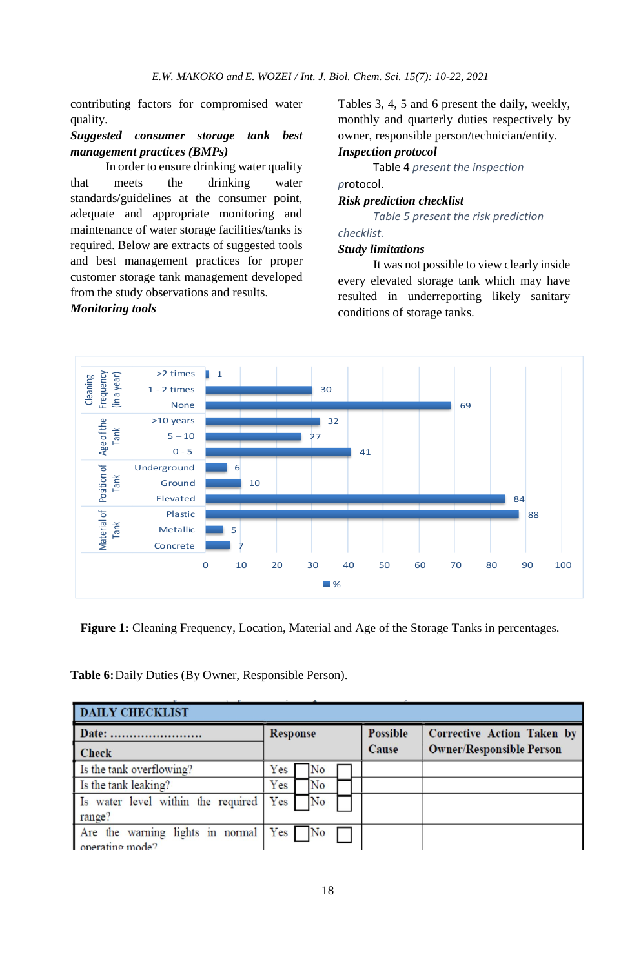contributing factors for compromised water quality.

# *Suggested consumer storage tank best management practices (BMPs)*

In order to ensure drinking water quality that meets the drinking water standards/guidelines at the consumer point, adequate and appropriate monitoring and maintenance of water storage facilities/tanks is required. Below are extracts of suggested tools and best management practices for proper customer storage tank management developed from the study observations and results.

# *Monitoring tools*

Tables 3, 4, 5 and 6 present the daily, weekly, monthly and quarterly duties respectively by owner, responsible person/technician**/**entity. *Inspection protocol*

Table 4 *present the inspection p*rotocol.

#### *Risk prediction checklist*

*Table 5 present the risk prediction* 

# *checklist.*

# *Study limitations*

It was not possible to view clearly inside every elevated storage tank which may have resulted in underreporting likely sanitary conditions of storage tanks.



**Figure 1:** Cleaning Frequency, Location, Material and Age of the Storage Tanks in percentages.

**Table 6:**Daily Duties (By Owner, Responsible Person).

| <b>DAILY CHECKLIST</b>                                       |     |                 |                |  |          |                                   |  |  |
|--------------------------------------------------------------|-----|-----------------|----------------|--|----------|-----------------------------------|--|--|
| Date:                                                        |     | <b>Response</b> |                |  | Possible | <b>Corrective Action Taken by</b> |  |  |
| <b>Check</b>                                                 |     |                 |                |  | Cause    | <b>Owner/Responsible Person</b>   |  |  |
| Is the tank overflowing?                                     | Yes |                 | No             |  |          |                                   |  |  |
| Is the tank leaking?                                         | Yes |                 | No             |  |          |                                   |  |  |
| Is water level within the required                           | Yes |                 | N <sub>o</sub> |  |          |                                   |  |  |
| range?                                                       |     |                 |                |  |          |                                   |  |  |
| Are the warning lights in normal $Yes$ No<br>operating mode? |     |                 |                |  |          |                                   |  |  |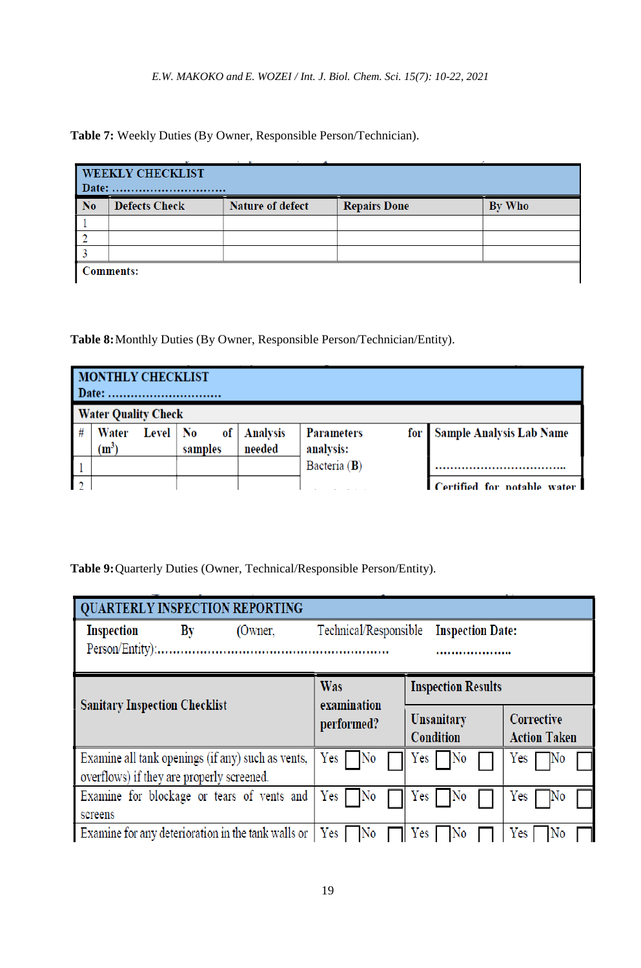**Table 7:** Weekly Duties (By Owner, Responsible Person/Technician).

|                | <b>WEEKLY CHECKLIST</b> |                         |                     |        |  |  |  |  |
|----------------|-------------------------|-------------------------|---------------------|--------|--|--|--|--|
| N <sub>0</sub> | <b>Defects Check</b>    | <b>Nature of defect</b> | <b>Repairs Done</b> | By Who |  |  |  |  |
|                |                         |                         |                     |        |  |  |  |  |
|                |                         |                         |                     |        |  |  |  |  |
|                |                         |                         |                     |        |  |  |  |  |
|                | <b>Comments:</b>        |                         |                     |        |  |  |  |  |

**Table 8:**Monthly Duties (By Owner, Responsible Person/Technician/Entity).

|   | <b>MONTHLY CHECKLIST</b><br>Date: |            |               |                           |                                       |                                 |  |  |  |  |
|---|-----------------------------------|------------|---------------|---------------------------|---------------------------------------|---------------------------------|--|--|--|--|
|   | <b>Water Quality Check</b>        |            |               |                           |                                       |                                 |  |  |  |  |
| # | Water<br>$(m^3)$                  | Level   No | of<br>samples | <b>Analysis</b><br>needed | <b>Parameters</b><br>for<br>analysis: | <b>Sample Analysis Lab Name</b> |  |  |  |  |
|   |                                   |            |               |                           | Bacteria (B)                          |                                 |  |  |  |  |
|   |                                   |            |               |                           |                                       | Certified for potable water     |  |  |  |  |

**Table 9:**Quarterly Duties (Owner, Technical/Responsible Person/Entity).

| <b>QUARTERLY INSPECTION REPORTING</b>     |  |                                                    |                          |                                |                               |                                          |            |
|-------------------------------------------|--|----------------------------------------------------|--------------------------|--------------------------------|-------------------------------|------------------------------------------|------------|
| By<br>Inspection<br>(Owner,               |  | Technical/Responsible<br><b>Inspection Date:</b>   |                          | .                              |                               |                                          |            |
|                                           |  |                                                    |                          |                                |                               |                                          |            |
| <b>Sanitary Inspection Checklist</b>      |  | Was<br>examination                                 |                          | <b>Inspection Results</b>      |                               |                                          |            |
|                                           |  | performed?                                         |                          | Unsanitary<br><b>Condition</b> |                               | <b>Corrective</b><br><b>Action Taken</b> |            |
| overflows) if they are properly screened. |  | Examine all tank openings (if any) such as vents,  | Yes [<br>7No             |                                | Yes <sub>1</sub><br><b>No</b> |                                          | Yes<br>IN0 |
| screens                                   |  | Examine for blockage or tears of vents and         | Yes [<br>No              |                                | Yes <sub>1</sub><br>No        |                                          | Yes<br>INO |
|                                           |  | Examine for any deterioration in the tank walls or | $ $ Yes $ $<br><b>No</b> |                                | Yes                           |                                          | Yes        |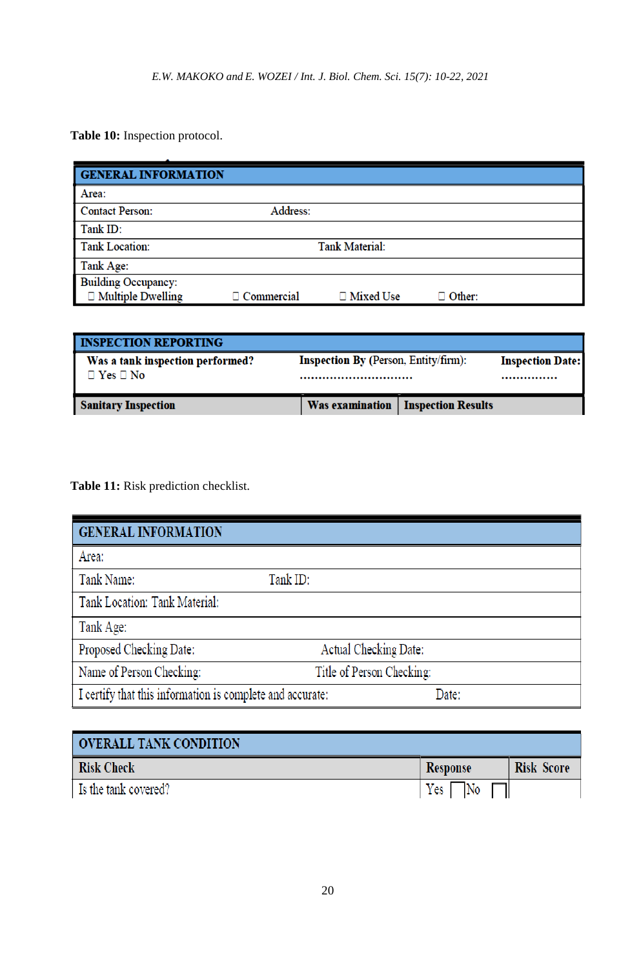**Table 10:** Inspection protocol.

| <b>GENERAL INFORMATION</b> |                   |                       |               |  |
|----------------------------|-------------------|-----------------------|---------------|--|
| Area:                      |                   |                       |               |  |
| <b>Contact Person:</b>     | Address:          |                       |               |  |
| Tank ID:                   |                   |                       |               |  |
| <b>Tank Location:</b>      |                   | <b>Tank Material:</b> |               |  |
| Tank Age:                  |                   |                       |               |  |
| <b>Building Occupancy:</b> |                   |                       |               |  |
| $\Box$ Multiple Dwelling   | $\Box$ Commercial | □ Mixed Use           | $\Box$ Other: |  |

| <b>INSPECTION REPORTING</b>                              |                                                 |                                             |  |
|----------------------------------------------------------|-------------------------------------------------|---------------------------------------------|--|
| Was a tank inspection performed?<br>$\Box$ Yes $\Box$ No | <b>Inspection By (Person, Entity/firm):</b><br> | <b>Inspection Date:</b><br>                 |  |
| <b>Sanitary Inspection</b>                               |                                                 | <b>Was examination   Inspection Results</b> |  |

**Table 11:** Risk prediction checklist.

| <b>GENERAL INFORMATION</b>                                |                           |       |
|-----------------------------------------------------------|---------------------------|-------|
| Area:                                                     |                           |       |
| Tank Name:                                                | Tank ID:                  |       |
| Tank Location: Tank Material:                             |                           |       |
| Tank Age:                                                 |                           |       |
| Proposed Checking Date:                                   | Actual Checking Date:     |       |
| Name of Person Checking:                                  | Title of Person Checking: |       |
| I certify that this information is complete and accurate: |                           | Date: |

| <b>OVERALL TANK CONDITION</b> |          |                   |
|-------------------------------|----------|-------------------|
| <b>Risk Check</b>             | Response | <b>Risk Score</b> |
| Is the tank covered?          | $Yes$ No |                   |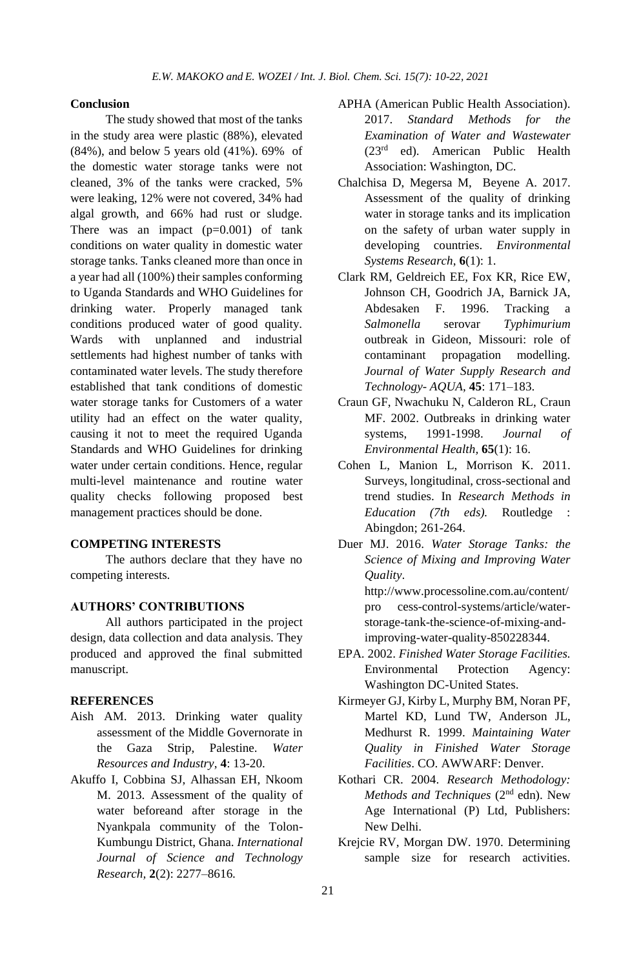## **Conclusion**

The study showed that most of the tanks in the study area were plastic (88%), elevated (84%), and below 5 years old (41%). 69% of the domestic water storage tanks were not cleaned, 3% of the tanks were cracked, 5% were leaking, 12% were not covered, 34% had algal growth, and 66% had rust or sludge. There was an impact  $(p=0.001)$  of tank conditions on water quality in domestic water storage tanks. Tanks cleaned more than once in a year had all (100%) their samples conforming to Uganda Standards and WHO Guidelines for drinking water. Properly managed tank conditions produced water of good quality. Wards with unplanned and industrial settlements had highest number of tanks with contaminated water levels. The study therefore established that tank conditions of domestic water storage tanks for Customers of a water utility had an effect on the water quality, causing it not to meet the required Uganda Standards and WHO Guidelines for drinking water under certain conditions. Hence, regular multi-level maintenance and routine water quality checks following proposed best management practices should be done.

# **COMPETING INTERESTS**

The authors declare that they have no competing interests.

# **AUTHORS' CONTRIBUTIONS**

All authors participated in the project design, data collection and data analysis. They produced and approved the final submitted manuscript.

## **REFERENCES**

- Aish AM. 2013. Drinking water quality assessment of the Middle Governorate in the Gaza Strip, Palestine. *Water Resources and Industry*, **4**: 13-20.
- Akuffo I, Cobbina SJ, Alhassan EH, Nkoom M. 2013. Assessment of the quality of water beforeand after storage in the Nyankpala community of the Tolon-Kumbungu District, Ghana. *International Journal of Science and Technology Research,* **2**(2): 2277–8616.
- APHA (American Public Health Association). 2017. *Standard Methods for the Examination of Water and Wastewater* (23rd ed). American Public Health Association: Washington, DC.
- Chalchisa D, Megersa M, Beyene A. 2017. Assessment of the quality of drinking water in storage tanks and its implication on the safety of urban water supply in developing countries. *Environmental Systems Research*, **6**(1): 1.
- Clark RM, Geldreich EE, Fox KR, Rice EW, Johnson CH, Goodrich JA, Barnick JA, Abdesaken F. 1996. Tracking a *Salmonella* serovar *Typhimurium*  outbreak in Gideon, Missouri: role of contaminant propagation modelling. *Journal of Water Supply Research and Technology- AQUA*, **45**: 171–183.
- Craun GF, Nwachuku N, Calderon RL, Craun MF. 2002. Outbreaks in drinking water systems, 1991-1998. *Journal of Environmental Health,* **65**(1): 16.
- Cohen L, Manion L, Morrison K. 2011. Surveys, longitudinal, cross-sectional and trend studies. In *Research Methods in Education (7th eds).* Routledge : Abingdon; 261-264.
- Duer MJ. 2016. *Water Storage Tanks: the Science of Mixing and Improving Water Quality*.
	- [http://www.processoline.com.au/content/](http://www.processoline.com.au/content/pro%20cess-control-systems/article/water-storage-tank-the-science-of-mixing-and-improving-water-quality-850228344) [pro cess-control-systems/article/water](http://www.processoline.com.au/content/pro%20cess-control-systems/article/water-storage-tank-the-science-of-mixing-and-improving-water-quality-850228344)[storage-tank-the-science-of-mixing-and](http://www.processoline.com.au/content/pro%20cess-control-systems/article/water-storage-tank-the-science-of-mixing-and-improving-water-quality-850228344)[improving-water-quality-850228344.](http://www.processoline.com.au/content/pro%20cess-control-systems/article/water-storage-tank-the-science-of-mixing-and-improving-water-quality-850228344)
- EPA. 2002. *Finished Water Storage Facilities.*  Environmental Protection Agency: Washington DC-United States.
- Kirmeyer GJ, Kirby L, Murphy BM, Noran PF, Martel KD, Lund TW, Anderson JL, Medhurst R. 1999. *Maintaining Water Quality in Finished Water Storage Facilities*. CO. AWWARF: Denver.
- Kothari CR. 2004. *Research Methodology:*  Methods and Techniques (2<sup>nd</sup> edn). New Age International (P) Ltd, Publishers: New Delhi.
- Krejcie RV, Morgan DW. 1970. Determining sample size for research activities.